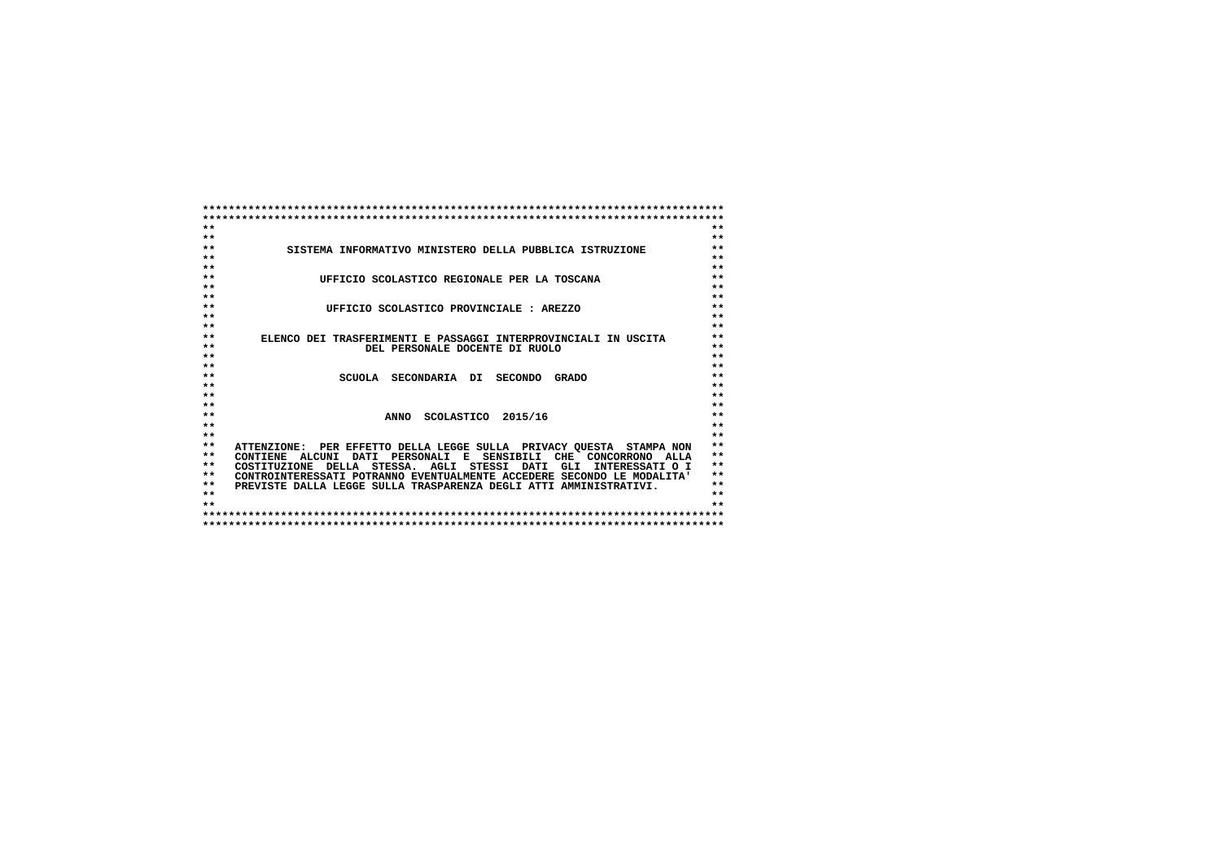| $**$<br>$**$                                                                                        |
|-----------------------------------------------------------------------------------------------------|
| $**$<br>$**$                                                                                        |
| $***$<br>$**$<br>SISTEMA INFORMATIVO MINISTERO DELLA PUBBLICA ISTRUZIONE                            |
| $\star\star$<br>$**$                                                                                |
| $***$<br>$**$                                                                                       |
| $***$<br>$**$<br>UFFICIO SCOLASTICO REGIONALE PER LA TOSCANA                                        |
| $**$<br>$**$                                                                                        |
| $\star\star$<br>$**$                                                                                |
| $***$<br>$**$<br>UFFICIO SCOLASTICO PROVINCIALE : AREZZO                                            |
| $***$<br>$**$                                                                                       |
| $***$<br>$\star$ $\star$                                                                            |
| $**$<br>$**$<br>ELENCO DEI TRASFERIMENTI E PASSAGGI INTERPROVINCIALI IN USCITA                      |
| $***$<br>$**$<br>DEL PERSONALE DOCENTE DI RUOLO                                                     |
| $* *$<br>$***$                                                                                      |
| $**$<br>$**$                                                                                        |
| $**$<br>$**$<br>SCUOLA SECONDARIA DI<br>SECONDO GRADO                                               |
| $\star\star$<br>$**$                                                                                |
| $***$<br>$**$                                                                                       |
| $**$<br>$**$                                                                                        |
| $\star\star$<br>$***$<br>ANNO SCOLASTICO 2015/16                                                    |
| $**$<br>$***$                                                                                       |
| $**$<br>$**$<br>$**$                                                                                |
| $* *$<br>ATTENZIONE: PER EFFETTO DELLA LEGGE SULLA PRIVACY OUESTA STAMPA NON                        |
| $**$<br>$**$<br>CONTIENE ALCUNI DATI PERSONALI E SENSIBILI CHE CONCORRONO ALLA                      |
| $***$<br>$**$<br>COSTITUZIONE DELLA STESSA. AGLI STESSI DATI<br>GLI<br>INTERESSATI O I<br>$***$     |
| $**$<br>CONTROINTERESSATI POTRANNO EVENTUALMENTE ACCEDERE SECONDO LE MODALITA'                      |
| $* *$<br>$* *$<br>PREVISTE DALLA LEGGE SULLA TRASPARENZA DEGLI ATTI AMMINISTRATIVI.<br>$**$<br>$**$ |
| $\star\star$<br>$* *$                                                                               |
|                                                                                                     |
|                                                                                                     |
|                                                                                                     |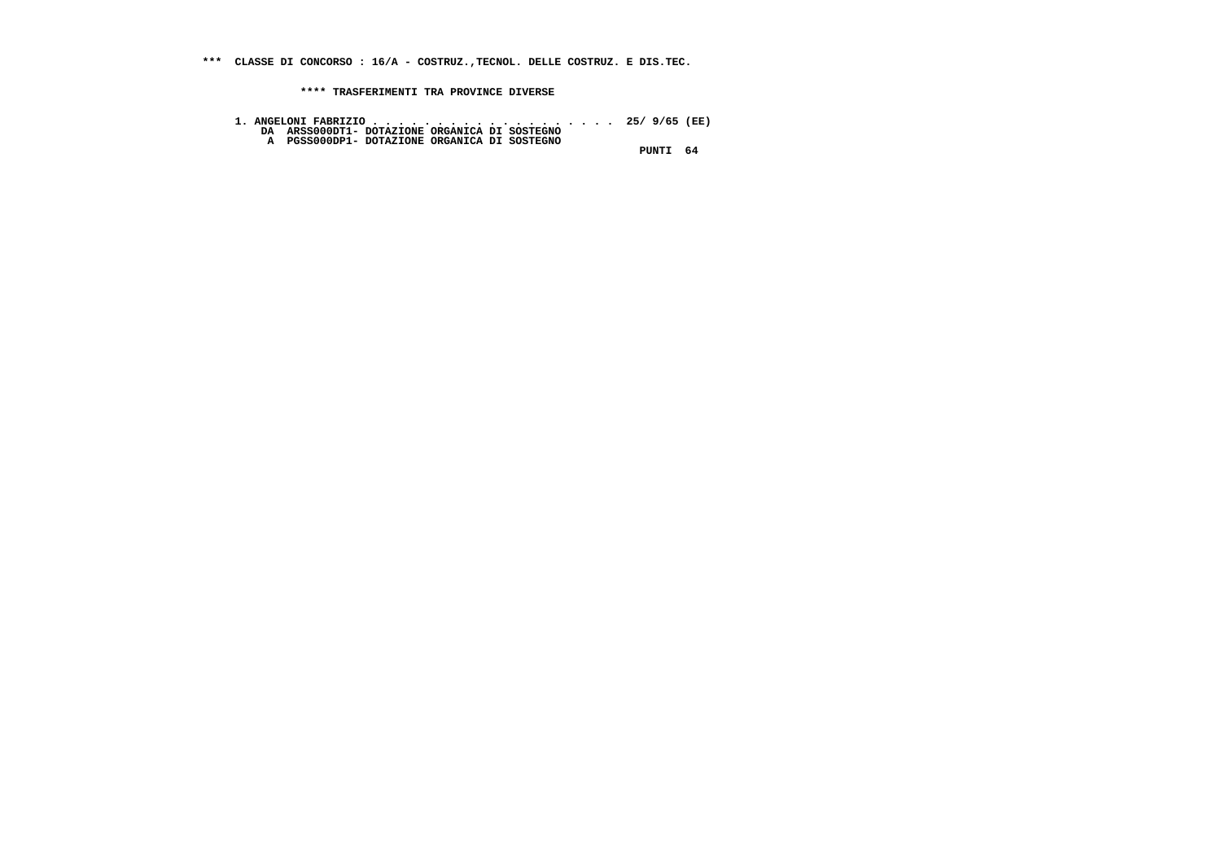**\*\*\* CLASSE DI CONCORSO : 16/A - COSTRUZ.,TECNOL. DELLE COSTRUZ. E DIS.TEC.**

 **\*\*\*\* TRASFERIMENTI TRA PROVINCE DIVERSE**

- **1. ANGELONI FABRIZIO . . . . . . . . . . . . . . . . . . . 25/ 9/65 (EE) DA ARSS000DT1- DOTAZIONE ORGANICA DI SOSTEGNO A PGSS000DP1- DOTAZIONE ORGANICA DI SOSTEGNO**
	-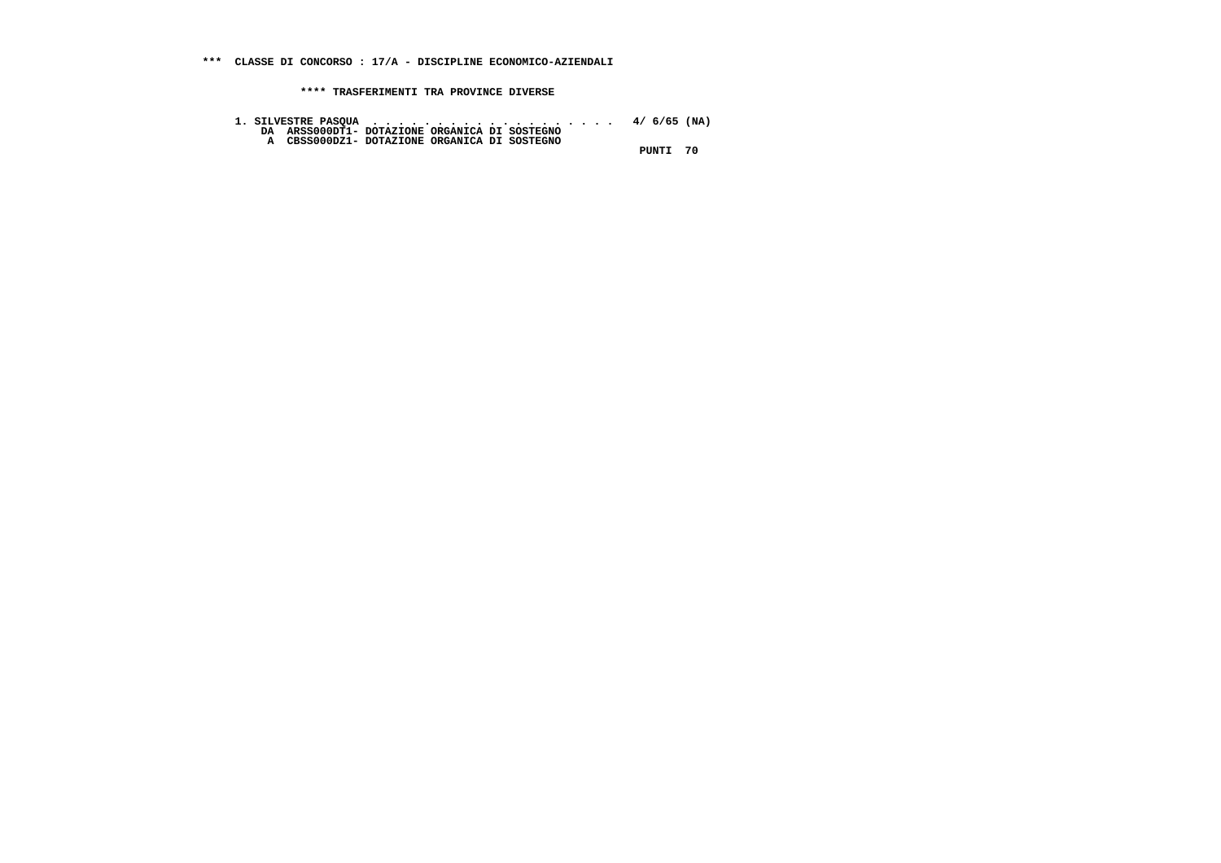**1. SILVESTRE PASQUA . . . . . . . . . . . . . . . . . . . 4/ 6/65 (NA) DA ARSS000DT1- DOTAZIONE ORGANICA DI SOSTEGNO A CBSS000DZ1- DOTAZIONE ORGANICA DI SOSTEGNO**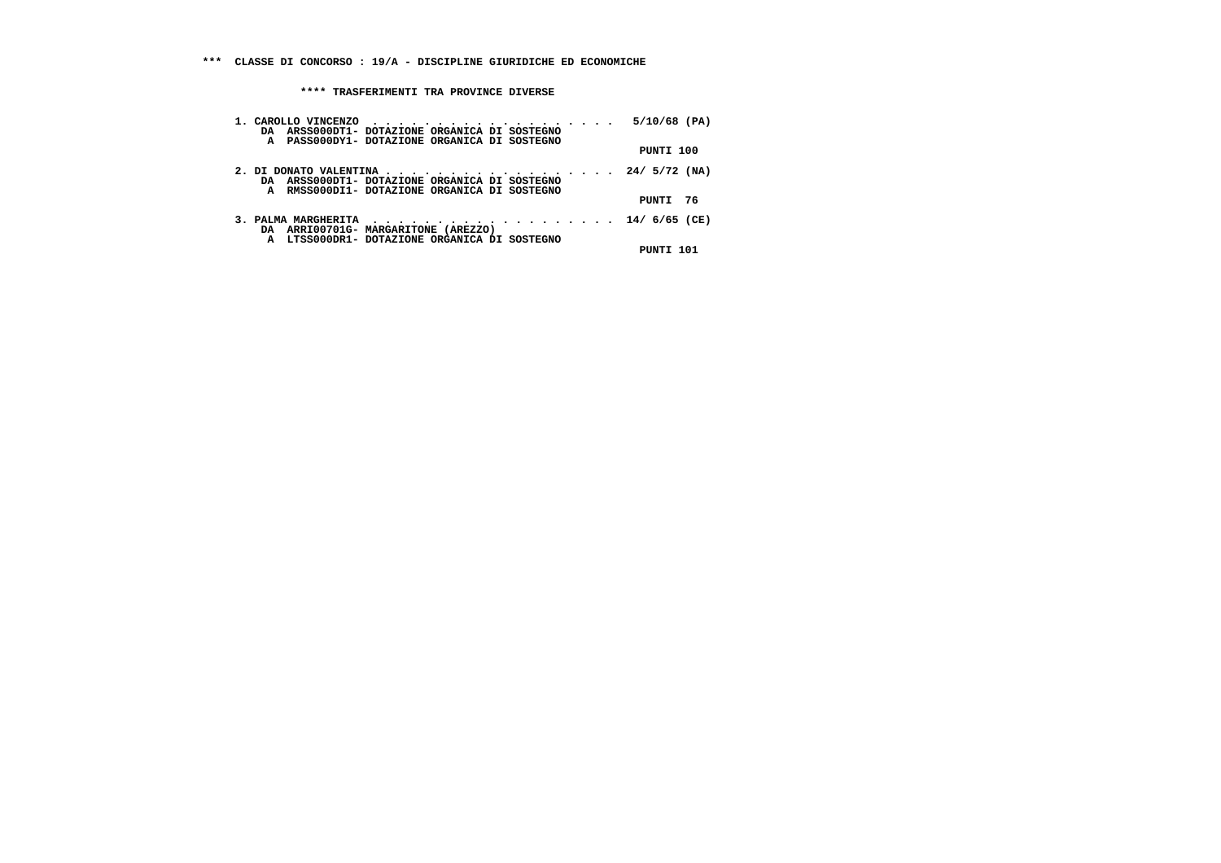| DA ARSS000DT1- DOTAZIONE ORGANICA DI SOSTEGNO<br>A PASS000DY1- DOTAZIONE ORGANICA DI SOSTEGNO                                           | 5/10/68 (PA) |
|-----------------------------------------------------------------------------------------------------------------------------------------|--------------|
|                                                                                                                                         | PUNTI 100    |
| 2. DI DONATO VALENTINA 24/ $5/72$ (NA)<br>DA ARSS000DT1- DOTAZIONE ORGANICA DI SOSTEGNO<br>A RMSS000DI1- DOTAZIONE ORGANICA DI SOSTEGNO |              |
|                                                                                                                                         | PUNTI 76     |
| 3. PALMA MARGHERITA 14/ 6/65 (CE)<br>DA ARRIO0701G-MARGARITONE (AREZZO)<br>A LTSS000DR1- DOTAZIONE ORGANICA DI SOSTEGNO                 |              |
|                                                                                                                                         | PUNTI 101    |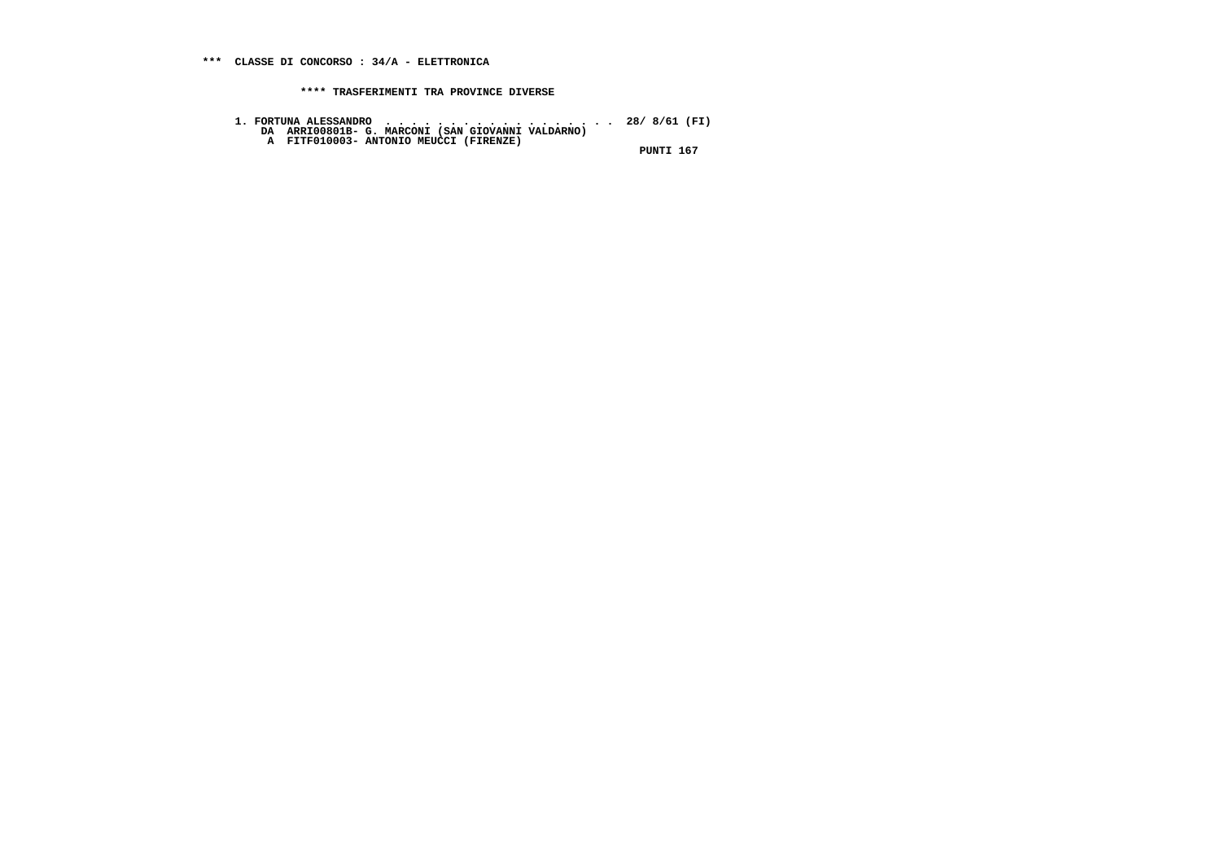**1. FORTUNA ALESSANDRO . . . . . . . . . . . . . . . . . . 28/ 8/61 (FI) DA ARRI00801B- G. MARCONI (SAN GIOVANNI VALDARNO) A FITF010003- ANTONIO MEUCCI (FIRENZE) PUNTI 167**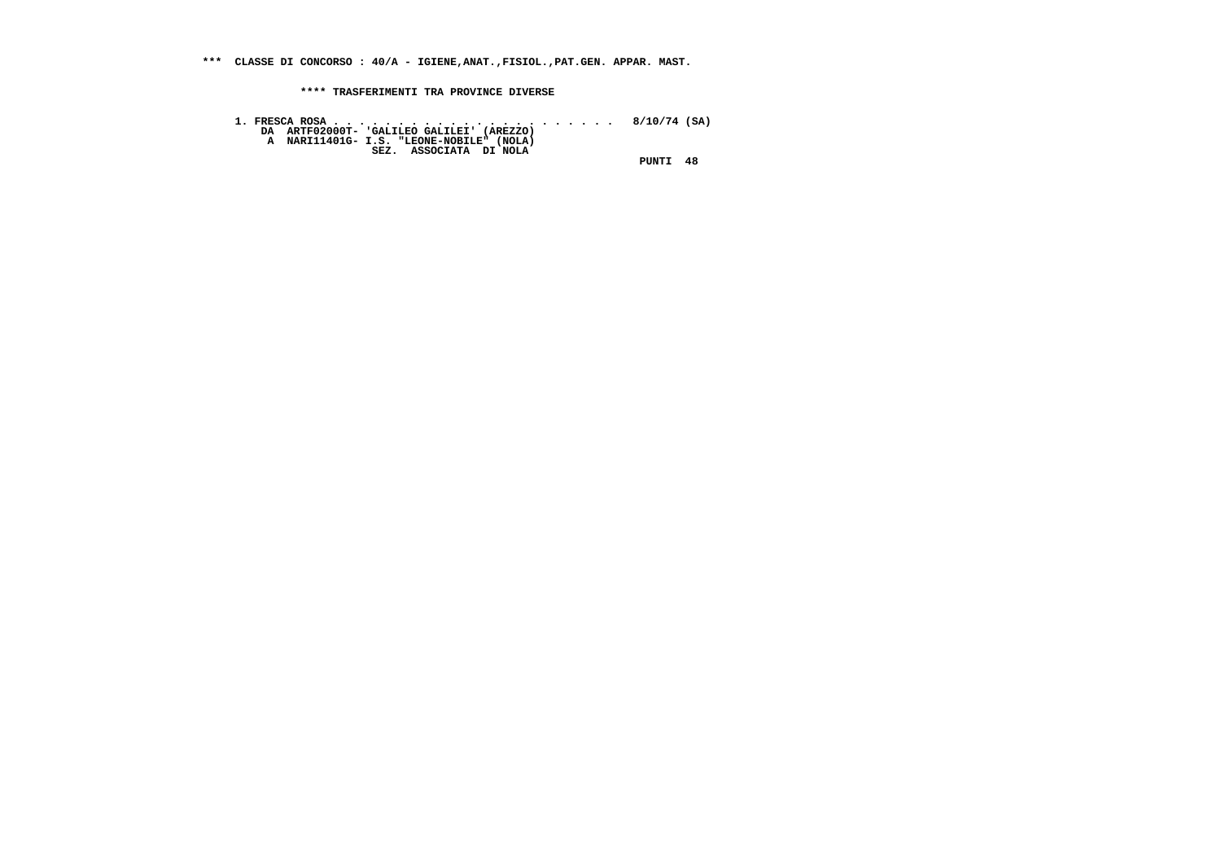**\*\*\* CLASSE DI CONCORSO : 40/A - IGIENE,ANAT.,FISIOL.,PAT.GEN. APPAR. MAST.**

 **\*\*\*\* TRASFERIMENTI TRA PROVINCE DIVERSE**

 **1. FRESCA ROSA . . . . . . . . . . . . . . . . . . . . . . 8/10/74 (SA) DA ARTF02000T- 'GALILEO GALILEI' (AREZZO) A NARI11401G- I.S. "LEONE-NOBILE" (NOLA) SEZ. ASSOCIATA DI NOLA PUNTI 48**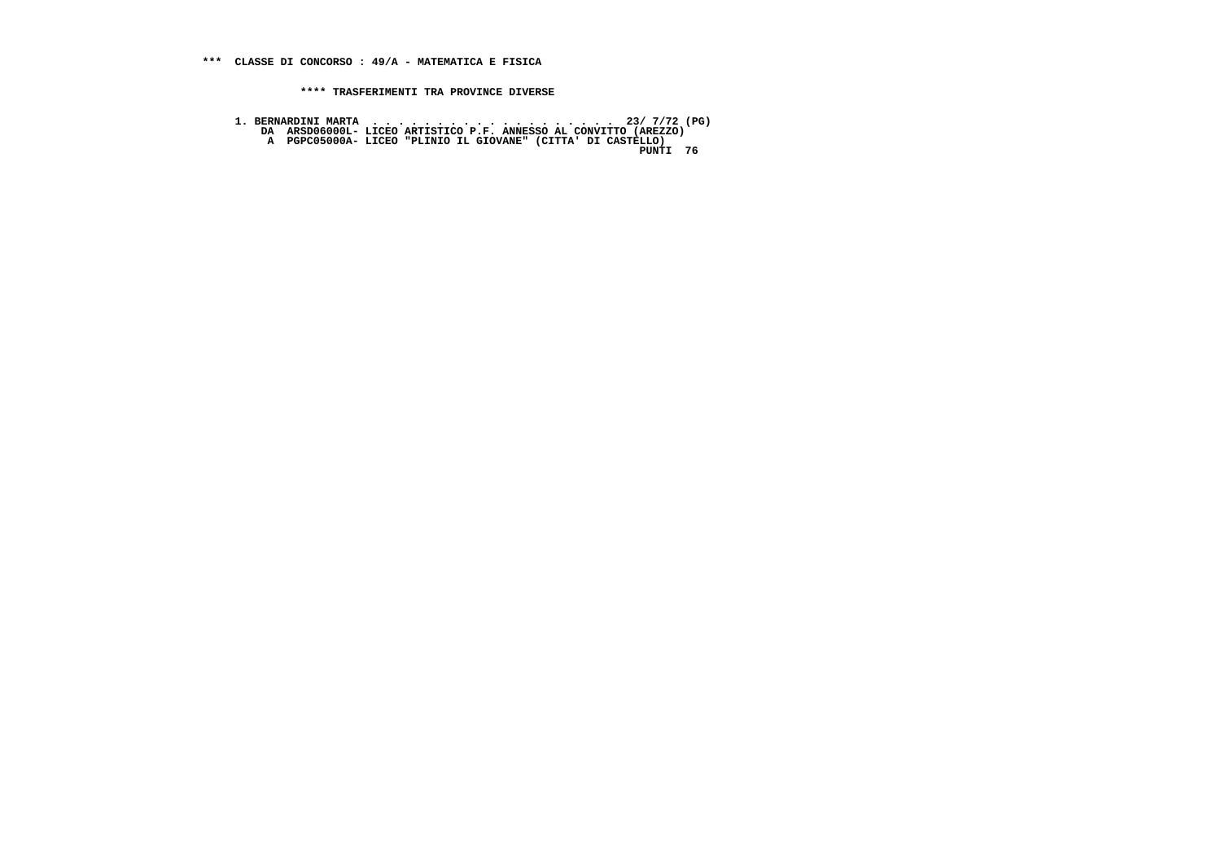- 
- 1. BERNARDINI MARTA<br>DA ARSDO6000L- LICEO ARTISTICO P.F. ANNESSO AL CONVITTO (AREZZO)<br>A PGPC05000A- LICEO "PLINIO IL GIOVANE" (CITTA' DI CASTELLO)<br>PUNTI 76
	-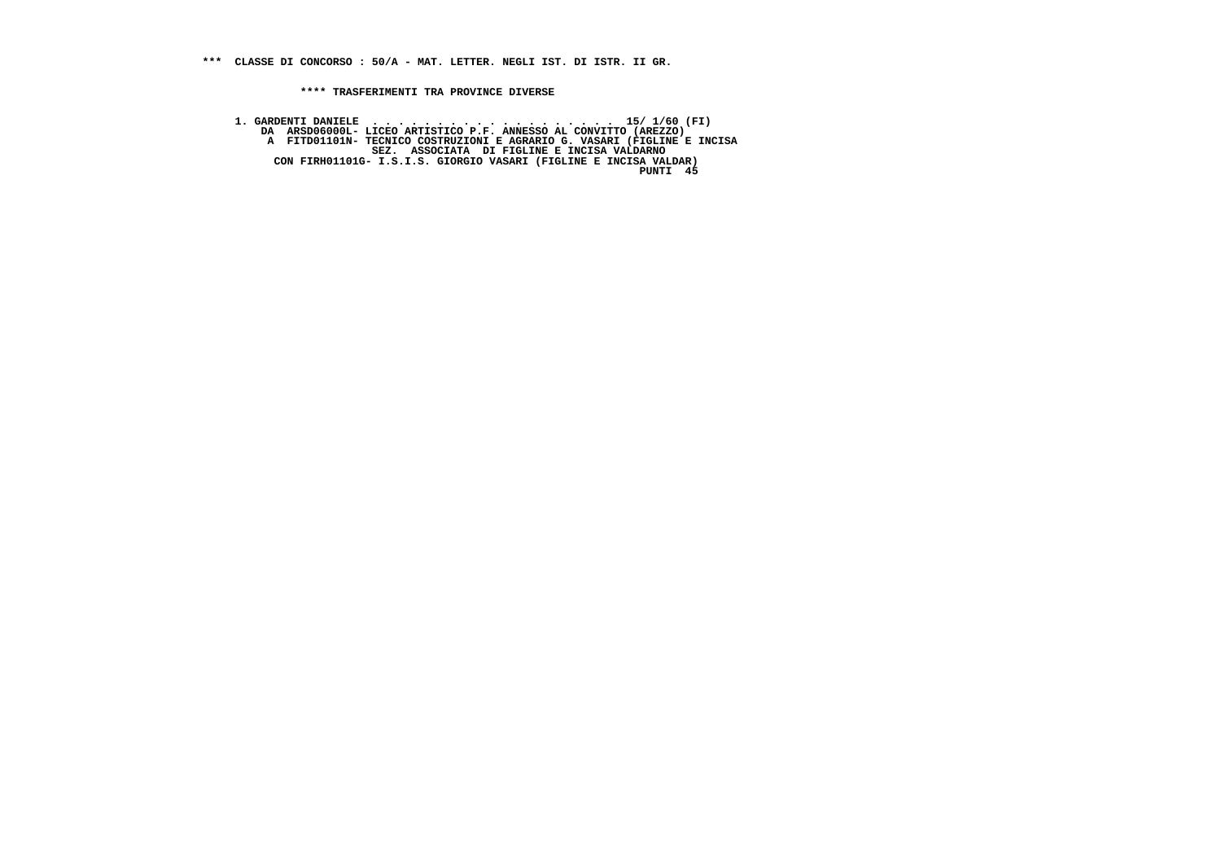**1. GARDENTI DANIELE . . . . . . . . . . . . . . . . . . . 15/ 1/60 (FI) DA ARSD06000L- LICEO ARTISTICO P.F. ANNESSO AL CONVITTO (AREZZO) A FITD01101N- TECNICO COSTRUZIONI E AGRARIO G. VASARI (FIGLINE E INCISA SEZ. ASSOCIATA DI FIGLINE E INCISA VALDARNO CON FIRH01101G- I.S.I.S. GIORGIO VASARI (FIGLINE E INCISA VALDAR) PUNTI 45** $PINTT = 45$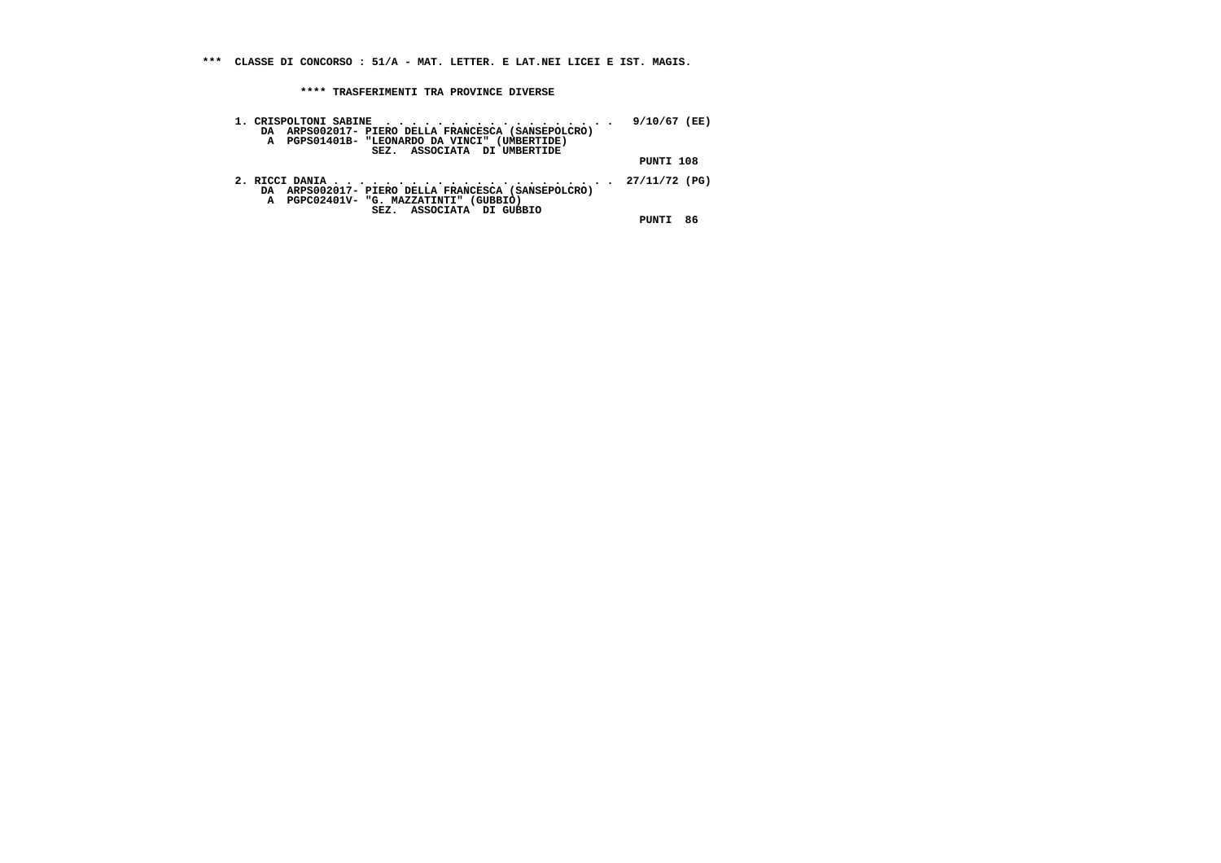**\*\*\* CLASSE DI CONCORSO : 51/A - MAT. LETTER. E LAT.NEI LICEI E IST. MAGIS.**

 **\*\*\*\* TRASFERIMENTI TRA PROVINCE DIVERSE**

| DA ARPS002017- PIERO DELLA FRANCESCA (SANSEPOLCRO)<br>A PGPS01401B- "LEONARDO DA VINCI" (UMBERTIDE)<br>SEZ. ASSOCIATA DI UMBERTIDE | 9/10/67 (EE) |    |
|------------------------------------------------------------------------------------------------------------------------------------|--------------|----|
|                                                                                                                                    | PUNTI 108    |    |
| DA ARPS002017- PIERO DELLA FRANCESCA (SANSEPOLCRO)<br>A PGPC02401V- "G. MAZZATINTI" (GUBBIO)<br>SEZ. ASSOCIATA DI GUBBIO           |              |    |
|                                                                                                                                    | PINTT        | 86 |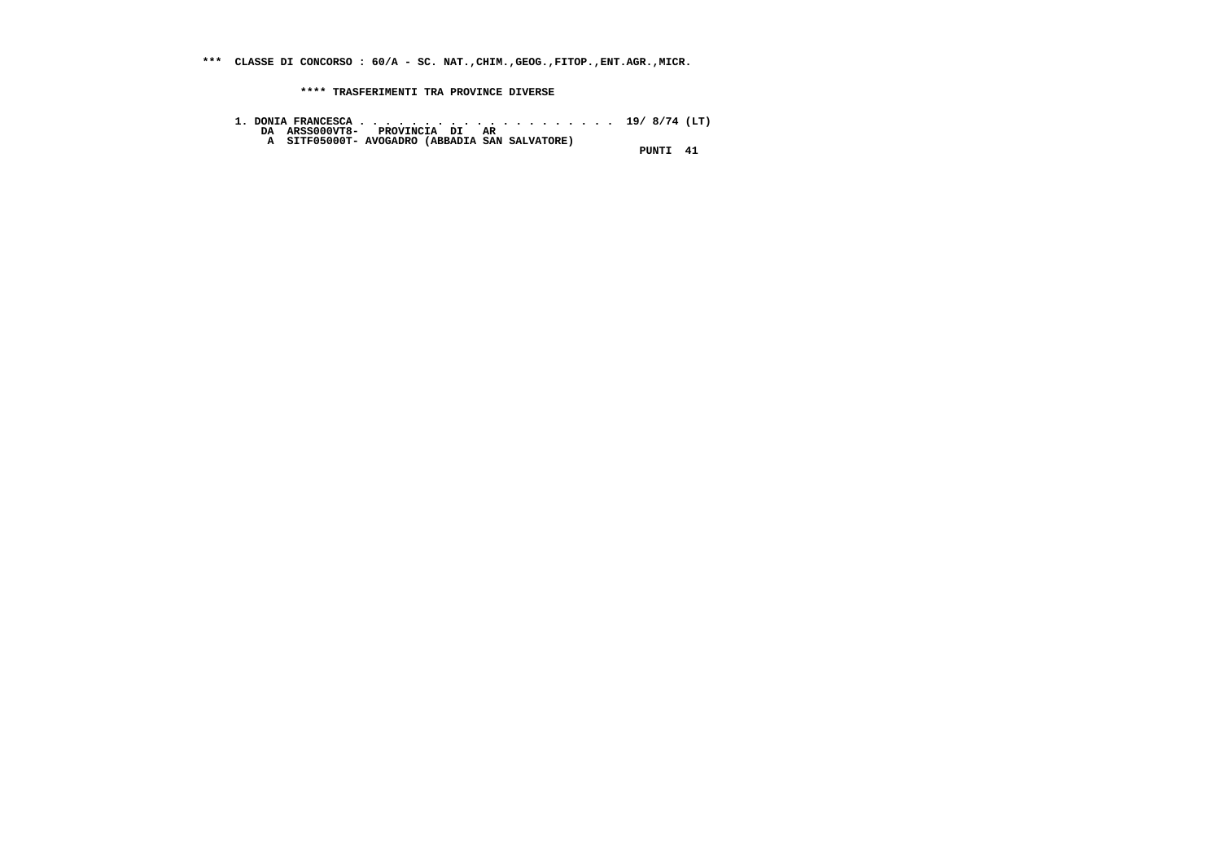**\*\*\* CLASSE DI CONCORSO : 60/A - SC. NAT.,CHIM.,GEOG.,FITOP.,ENT.AGR.,MICR.**

 **\*\*\*\* TRASFERIMENTI TRA PROVINCE DIVERSE**

- **1. DONIA FRANCESCA . . . . . . . . . . . . . . . . . . . . 19/ 8/74 (LT) DA ARSS000VT8- PROVINCIA DI AR A SITF05000T- AVOGADRO (ABBADIA SAN SALVATORE)**
	-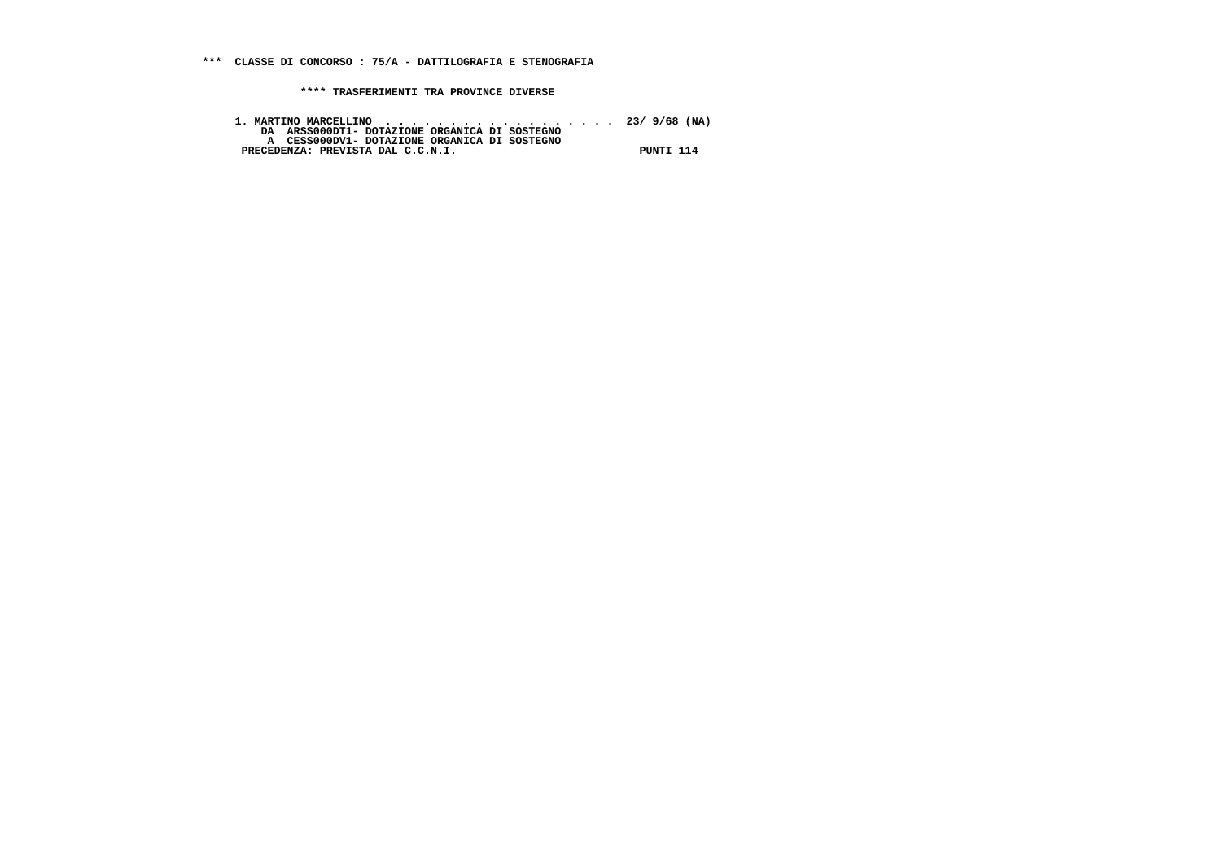1. MARTINO MARCELLINO<br>DA ARSSOODTI- DOTAZIONE ORGANICA DI SOSTEGNO<br>A CESSOOODVI- DOTAZIONE ORGANICA DI SOSTEGNO<br>PRECEDENZA: PREVISTA DAL C.C.N.I.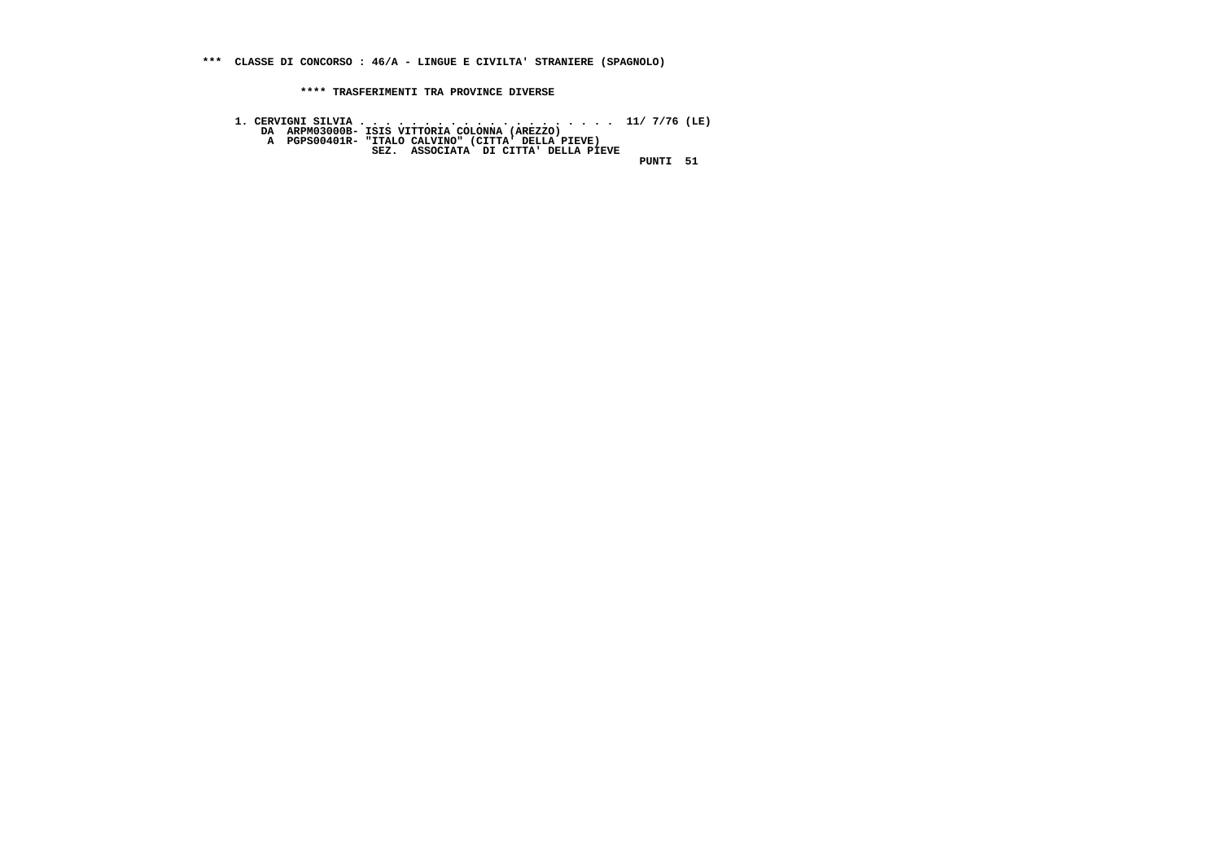**\*\*\* CLASSE DI CONCORSO : 46/A - LINGUE E CIVILTA' STRANIERE (SPAGNOLO)**

 **\*\*\*\* TRASFERIMENTI TRA PROVINCE DIVERSE**

 **1. CERVIGNI SILVIA . . . . . . . . . . . . . . . . . . . . 11/ 7/76 (LE) DA ARPM03000B- ISIS VITTORIA COLONNA (AREZZO) A PGPS00401R- "ITALO CALVINO" (CITTA' DELLA PIEVE) SEZ. ASSOCIATA DI CITTA' DELLA PIEVE PUNTI 51**